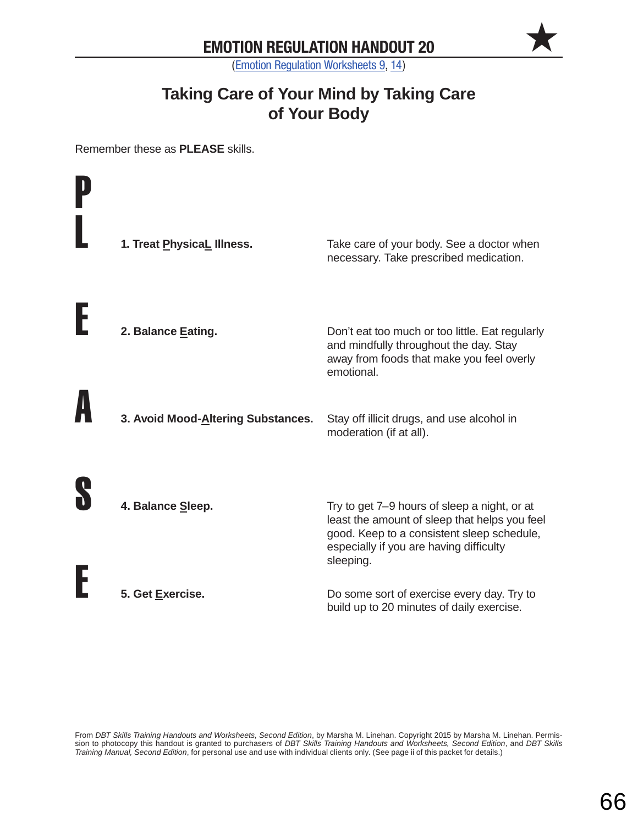$\bigstar$ 

(Emotion Regulation Worksheets 9, 14)

#### **Taking Care of Your Mind by Taking Care of Your Body**

Remember these as **PLEASE** skills.

| 1. Treat PhysicaL Illness.         | Take care of your body. See a doctor when<br>necessary. Take prescribed medication.                                                                                                                 |
|------------------------------------|-----------------------------------------------------------------------------------------------------------------------------------------------------------------------------------------------------|
| 2. Balance Eating.                 | Don't eat too much or too little. Eat regularly<br>and mindfully throughout the day. Stay<br>away from foods that make you feel overly<br>emotional.                                                |
| 3. Avoid Mood-Altering Substances. | Stay off illicit drugs, and use alcohol in<br>moderation (if at all).                                                                                                                               |
| 4. Balance Sleep.                  | Try to get 7–9 hours of sleep a night, or at<br>least the amount of sleep that helps you feel<br>good. Keep to a consistent sleep schedule,<br>especially if you are having difficulty<br>sleeping. |
| 5. Get Exercise.                   | Do some sort of exercise every day. Try to<br>build up to 20 minutes of daily exercise.                                                                                                             |

From *DBT Skills Training Handouts and Worksheets, Second Edition*, by Marsha M. Linehan. Copyright 2015 by Marsha M. Linehan. Permission to photocopy this handout is granted to purchasers of *DBT Skills Training Handouts and Worksheets, Second Edition*, and *DBT Skills Training Manual, Second Edition*, for personal use and use with individual clients only. (See page ii of this packet for details.)